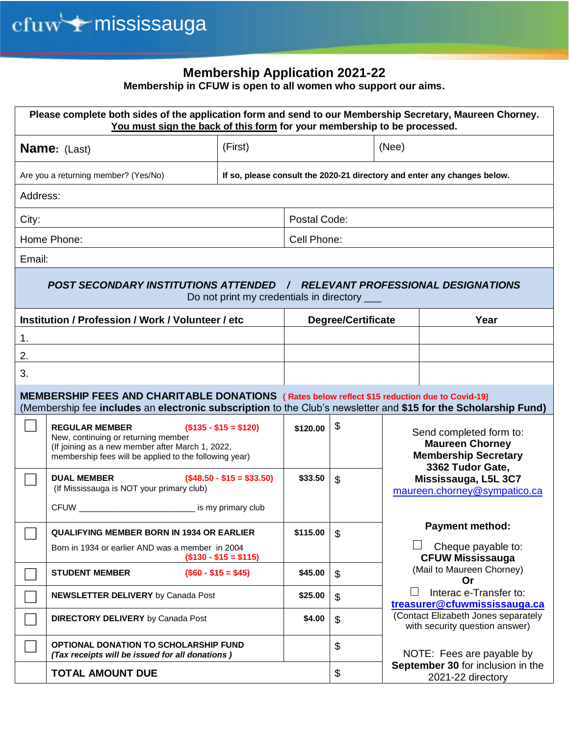## **Membership Application 2021-22**

**Membership in CFUW is open to all women who support our aims.** 

| Please complete both sides of the application form and send to our Membership Secretary, Maureen Chorney.<br>You must sign the back of this form for your membership to be processed.                            |                                                                                                 |                           |                                                        |                                                                                  |  |  |  |
|------------------------------------------------------------------------------------------------------------------------------------------------------------------------------------------------------------------|-------------------------------------------------------------------------------------------------|---------------------------|--------------------------------------------------------|----------------------------------------------------------------------------------|--|--|--|
| (First)<br><b>Name:</b> (Last)                                                                                                                                                                                   |                                                                                                 | (Nee)                     |                                                        |                                                                                  |  |  |  |
| Are you a returning member? (Yes/No)                                                                                                                                                                             |                                                                                                 |                           |                                                        | If so, please consult the 2020-21 directory and enter any changes below.         |  |  |  |
| Address:                                                                                                                                                                                                         |                                                                                                 |                           |                                                        |                                                                                  |  |  |  |
| City:                                                                                                                                                                                                            |                                                                                                 | Postal Code:              |                                                        |                                                                                  |  |  |  |
| Home Phone:                                                                                                                                                                                                      |                                                                                                 | Cell Phone:               |                                                        |                                                                                  |  |  |  |
| Email:                                                                                                                                                                                                           |                                                                                                 |                           |                                                        |                                                                                  |  |  |  |
| POST SECONDARY INSTITUTIONS ATTENDED / RELEVANT PROFESSIONAL DESIGNATIONS<br>Do not print my credentials in directory ___                                                                                        |                                                                                                 |                           |                                                        |                                                                                  |  |  |  |
| Institution / Profession / Work / Volunteer / etc                                                                                                                                                                |                                                                                                 | <b>Degree/Certificate</b> |                                                        | Year                                                                             |  |  |  |
| 1.                                                                                                                                                                                                               |                                                                                                 |                           |                                                        |                                                                                  |  |  |  |
| 2.                                                                                                                                                                                                               |                                                                                                 |                           |                                                        |                                                                                  |  |  |  |
| 3.                                                                                                                                                                                                               |                                                                                                 |                           |                                                        |                                                                                  |  |  |  |
| MEMBERSHIP FEES AND CHARITABLE DONATIONS (Rates below reflect \$15 reduction due to Covid-19)<br>(Membership fee includes an electronic subscription to the Club's newsletter and \$15 for the Scholarship Fund) |                                                                                                 |                           |                                                        |                                                                                  |  |  |  |
| <b>REGULAR MEMBER</b><br>New, continuing or returning member<br>(If joining as a new member after March 1, 2022,<br>membership fees will be applied to the following year)                                       | $($135 - $15 = $120)$                                                                           | \$120.00                  | \$                                                     | Send completed form to:<br><b>Maureen Chorney</b><br><b>Membership Secretary</b> |  |  |  |
| <b>DUAL MEMBER</b><br>(If Mississauga is NOT your primary club)                                                                                                                                                  | $($48.50 - $15 = $33.50)$                                                                       | \$33.50                   | \$                                                     | 3362 Tudor Gate,<br>Mississauga, L5L 3C7<br>maureen.chorney@sympatico.ca         |  |  |  |
| CFUW <u>CFUW</u>                                                                                                                                                                                                 |                                                                                                 |                           |                                                        | <b>Payment method:</b>                                                           |  |  |  |
| <b>QUALIFYING MEMBER BORN IN 1934 OR EARLIER</b><br>Born in 1934 or earlier AND was a member in 2004                                                                                                             | $($130 - $15 = $115)$                                                                           | \$115.00                  | \$                                                     | Cheque payable to:<br><b>CFUW Mississauga</b>                                    |  |  |  |
| <b>STUDENT MEMBER</b>                                                                                                                                                                                            | $($60 - $15 = $45)$                                                                             | \$45.00                   | \$                                                     | (Mail to Maureen Chorney)<br>Or                                                  |  |  |  |
| <b>NEWSLETTER DELIVERY</b> by Canada Post                                                                                                                                                                        |                                                                                                 | \$25.00                   | \$                                                     | Interac e-Transfer to:<br>treasurer@cfuwmississauga.ca                           |  |  |  |
| <b>DIRECTORY DELIVERY</b> by Canada Post                                                                                                                                                                         |                                                                                                 | \$4.00                    | \$                                                     | (Contact Elizabeth Jones separately<br>with security question answer)            |  |  |  |
|                                                                                                                                                                                                                  | <b>OPTIONAL DONATION TO SCHOLARSHIP FUND</b><br>(Tax receipts will be issued for all donations) |                           | \$                                                     | NOTE: Fees are payable by                                                        |  |  |  |
| <b>TOTAL AMOUNT DUE</b>                                                                                                                                                                                          |                                                                                                 | \$                        | September 30 for inclusion in the<br>2021-22 directory |                                                                                  |  |  |  |